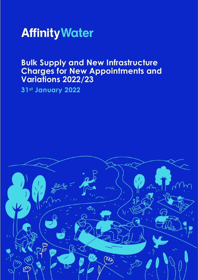

# **Bulk Supply and New Infrastructure Charges for New Appointments and Variations 2022/23**

**31st January 2022**

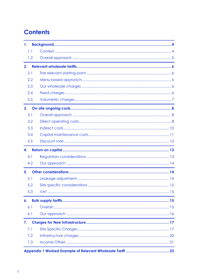# **Contents**

| 1.  |     |  |
|-----|-----|--|
| 1.1 |     |  |
|     | 1.2 |  |
| 2.  |     |  |
| 2.1 |     |  |
| 2.2 |     |  |
| 2.3 |     |  |
| 2.4 |     |  |
| 2.5 |     |  |
| 3.  |     |  |
| 3.1 |     |  |
| 3.2 |     |  |
| 3.3 |     |  |
| 3.4 |     |  |
| 3.5 |     |  |
| 4.  |     |  |
| 4.1 |     |  |
|     | 4.2 |  |
| 5.  |     |  |
| 5.1 |     |  |
|     | 5.2 |  |
|     | 5.3 |  |
| 6.  |     |  |
| 6.1 |     |  |
| 6.1 |     |  |
| 7.  |     |  |
| 7.1 |     |  |
|     | 7.2 |  |
|     | 7.3 |  |
|     |     |  |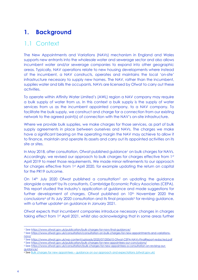## <span id="page-3-0"></span>**1. Background**

## <span id="page-3-1"></span>1.1 Context

The New Appointments and Variations (NAVs) mechanism in England and Wales supports new entrants into the wholesale water and sewerage sector and also allows incumbent water and/or sewerage companies to expand into other geographic areas. Typically, NAV operations relate to new housing developments where instead of the incumbent, a NAV constructs, operates and maintains the local 'on-site' infrastructure necessary to supply new homes. The NAV, rather than the incumbent, supplies water and bills the occupants. NAVs are licensed by Ofwat to carry out these activities.

To operate within Affinity Water Limited's (AWL) region a NAV company may require a bulk supply of water from us. In this context a bulk supply is the supply of water services from us as the incumbent appointed company, to a NAV company. To facilitate the bulk supply, we construct and charge for a connection from our existing network to the agreed point(s) of connection with the NAV's on-site infrastructure.

Where we provide bulk supplies, we make charges for those services, as part of bulk supply agreements in place between ourselves and NAVs. The charges we make have a significant bearing on the operating margin the NAV may achieve to allow it to finance, maintain and operate its assets and carry out its appointed activities on its site or sites.

In May 2018, after consultation, Ofwat published guidance<sup>1</sup> on bulk charges for NAVs. Accordingly, we revised our approach to bulk charges for charges effective from 1st April 2019 to meet those requirements. We made minor refinements to our approach for charges effective from 1st April 2020, for example updating the return on capital for the PR19 outcome.

On 14<sup>th</sup> July 2020 Ofwat published a consultation<sup>2</sup> on updating the guidance alongside a report <sup>3</sup> by its consultants, Cambridge Economic Policy Associates (CEPA). This report studied the industry's application of guidance and made suggestions for further development of charges. Ofwat published on 10<sup>th</sup> November 2020 the conclusions<sup>4</sup> of its July 2020 consultation and its final proposals<sup>5</sup> for revising guidance, with a further update<sup>6</sup> on guidance in January 2021.

Ofwat expects that incumbent companies introduce necessary changes in charges taking effect from 1st April 2021, whilst also acknowledging that in some areas further

<sup>1</sup> Se[e https://www.ofwat.gov.uk/publication/bulk-charges-for-navs-final-guidance/](https://www.ofwat.gov.uk/publication/bulk-charges-for-navs-final-guidance/)

<sup>2</sup> Se[e https://www.ofwat.gov.uk/consultation/consultation-on-bulk-charges-for-new-appointments-and-variations](https://www.ofwat.gov.uk/consultation/consultation-on-bulk-charges-for-new-appointments-and-variations-navs/)[navs/](https://www.ofwat.gov.uk/consultation/consultation-on-bulk-charges-for-new-appointments-and-variations-navs/)

<sup>3</sup> Se[e https://www.ofwat.gov.uk/wp-content/uploads/2020/07/200610-Ofwat-CEPA-NAVs-FinalReport-redacted.pdf](https://www.ofwat.gov.uk/wp-content/uploads/2020/07/200610-Ofwat-CEPA-NAVs-FinalReport-redacted.pdf) <sup>4</sup> Se[e https://www.ofwat.gov.uk/publication/bulk-charges-for-new-appointees-our-conclusions/](https://www.ofwat.gov.uk/publication/bulk-charges-for-new-appointees-our-conclusions/)

<sup>5</sup> Se[e https://www.ofwat.gov.uk/consultation/bulk-charges-for-new-appointees-a-consultation-on-revising-our](https://www.ofwat.gov.uk/consultation/bulk-charges-for-new-appointees-a-consultation-on-revising-our-guidance/)[guidance/](https://www.ofwat.gov.uk/consultation/bulk-charges-for-new-appointees-a-consultation-on-revising-our-guidance/)

<sup>6</sup> See Bulk charges for new appointees – [guidance on our approach and expectations \(ofwat.gov.uk\)](https://www.ofwat.gov.uk/wp-content/uploads/2021/01/Bulk-charges-for-new-appointees-guidance-on-our-approach-and-expectations.pdf)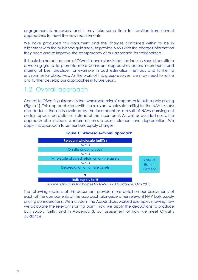engagement is necessary and it may take some time to transition from current approaches to meet the new requirements.

We have produced this document and the charges contained within to be in alignment with the published guidance, to provide NAVs with the charges information they need and to improve the transparency of our approach for stakeholders.

It should be noted that one of Ofwat's conclusions is that the industry should constitute a working group to promote more consistent approaches across incumbents and sharing of best practice, for example in cost estimation methods and furthering environmental objectives. As the work of this group evolves, we may need to refine and further develop our approaches in future years.

## <span id="page-4-0"></span>1.2 Overall approach

Central to Ofwat's guidance is the 'wholesale-minus' approach to bulk supply pricing (Figure 1). This approach starts with the relevant wholesale tariff(s) for the NAV's site(s) and deducts the costs avoided by the incumbent as a result of NAVs carrying out certain appointed activities instead of the incumbent. As well as avoided costs, the approach also includes a return on on-site assets element and depreciation. We apply this approach to set our bulk supply charges.



#### **Figure 1: 'Wholesale-minus' approach**

*Source: Ofwat: Bulk Charges for NAVs Final Guidance, May 2018*

The following sections of this document provide more detail on our assessments of each of the components of this approach alongside other relevant NAV bulk supply pricing considerations. We include in the Appendices worked examples showing how we calculate the relevant starting point, how we apply the deductions to produce bulk supply tariffs, and in Appendix 3, our assessment of how we meet Ofwat's guidance.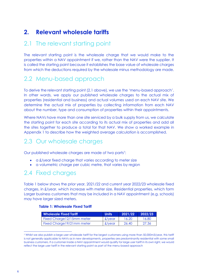## <span id="page-5-0"></span>**2. Relevant wholesale tariffs**

## <span id="page-5-1"></span>2.1 The relevant starting point

The relevant starting point is the wholesale charge that we would make to the properties within a NAV appointment if we, rather than the NAV were the supplier. It is called the starting point because it establishes the base value of wholesale charges from which the deductions required by the wholesale minus methodology are made.

## <span id="page-5-2"></span>2.2 Menu-based approach

To derive the relevant starting point (2.1 above), we use the 'menu-based approach'. In other words, we apply our published wholesale charges to the actual mix of properties (residential and business) and actual volumes used on each NAV site. We determine the actual mix of properties by collecting information from each NAV about the number, type and consumption of properties within their appointments.

Where NAVs have more than one site serviced by a bulk supply from us, we calculate the starting point for each site according to its actual mix of properties and add all the sites together to produce a total for that NAV. We show a worked example in Appendix 1 to describe how the weighted average calculation is accomplished.

## <span id="page-5-3"></span>2.3 Our wholesale charges

Our published wholesale charges are made of two parts<sup>7</sup>:

- a £/year fixed charge that varies according to meter size
- a volumetric charge per cubic metre, that varies by region

### <span id="page-5-4"></span>2.4 Fixed charges

Table 1 below shows the prior year, 2021/22 and current year 2022/23 wholesale fixed charges, in £/year, which increase with meter size. Residential properties, which form Larger business customers that may be included in a NAV appointment (e.g. schools) may have larger sized meters.

#### **Table 1: Wholesale Fixed Tariff**

| <b>Wholesale Fixed Tariff</b> | <b>Units</b>    | 2021/22 | 12022/23 |
|-------------------------------|-----------------|---------|----------|
| Fixed Charge 12/15mm meter    | $\pounds$ /year | 16.20   | 16.80    |
| Fixed Charge 19/21mm meter    | $\pounds$ /year | 26.40   | 27.36    |

<sup>7</sup> Whilst we also publish a large user wholesale tariff for the largest customers using more than 50,000m3/year, this tariff is not generally applicable to NAVs as in new developments, properties are predominantly residential with some small business customers. If a customer inside a NAV appointment would qualify for large user tariff in its own right, we would reflect the large user tariff in the relevant starting point as part of the menu-based approach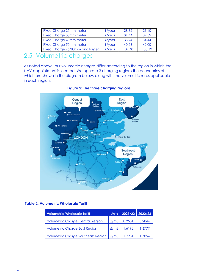| <b>Fixed Charge 25mm meter</b>  | $f$ /year      | 28.32  | 29.40  |
|---------------------------------|----------------|--------|--------|
| <b>Fixed Charge 30mm meter</b>  | $f$ /year      | 31.44  | 32.52  |
| <b>Fixed Charge 40mm meter</b>  | $f$ /year      | 33.24  | 34.44  |
| <b>Fixed Charge 50mm meter</b>  | $f$ /year      | 40.56  | 42.00  |
| Fixed Charge 75/80mm and larger | $f/\gamma$ ear | 104.40 | 108.12 |

## <span id="page-6-0"></span>2.5 Volumetric charges

As noted above, our volumetric charges differ according to the region in which the NAV appointment is located. We operate 3 charging regions the boundaries of which are shown in the diagram below, along with the volumetric rates applicable in each region.



### **Figure 2: The three charging regions**

### **Table 2: Volumetric Wholesale Tariff**

| <b>Volumetric Wholesale Tariff</b>        | <b>Units</b>  | 2021/22 2022/23 |         |
|-------------------------------------------|---------------|-----------------|---------|
| <b>Volumetric Charge Central Region</b>   | £/m3          | 0.9501          | 0.9844  |
| <b>Volumetric Charge East Region</b>      | £/m3          | 1.6192          | 1.6777  |
| <b>Volumetric Charge Southeast Region</b> | $\pounds$ /m3 | 1.7231          | 1 78.54 |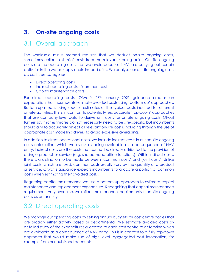## <span id="page-7-0"></span>**3. On-site ongoing costs**

### <span id="page-7-1"></span>3.1 Overall approach

The wholesale minus method requires that we deduct on-site ongoing costs, sometimes called 'last-mile' costs from the relevant starting point. On-site ongoing costs are the operating costs that we avoid because NAVs are carrying out certain activities in the water supply chain instead of us. We analyse our on-site ongoing costs across three categories:

- Direct operating costs
- Indirect operating costs 'common costs'
- Capital maintenance costs

For direct operating costs, Ofwat's 26th January 2021 guidance creates an expectation that incumbents estimate avoided costs using 'bottom-up' approaches. Bottom-up means using specific estimates of the typical costs incurred for different on-site activities. This is in contrast to potentially less accurate 'top-down' approaches that use company-level data to derive unit costs for on-site ongoing costs. Ofwat further say that estimates do not necessarily need to be site-specific but incumbents should aim to accurately reflect all relevant on-site costs, including through the use of appropriate cost modelling drivers to avoid excessive averaging.

In addition to direct operational costs, we include indirect costs in our on-site ongoing costs calculation, which we assess as being avoidable as a consequence of NAV entry. Indirect costs are the costs that cannot be directly attributed to the provision of a single product or service (e.g. shared head office functions). Within indirect costs, there is a distinction to be made between 'common costs' and 'joint costs'. Unlike joint costs, which are fixed, common costs usually vary by the quantity of a product or service. Ofwat's guidance expects incumbents to allocate a portion of common costs when estimating their avoided costs.

Regarding capital maintenance we use a bottom-up approach to estimate capital maintenance and replacement expenditure. Recognising that capital maintenance requirements vary over time, we reflect maintenance requirements in on-site ongoing costs as an annuity.

### <span id="page-7-2"></span>3.2 Direct operating costs

We manage our operating costs by setting annual budgets for cost centre codes that are broadly either activity based or departmental. We estimate avoided costs by detailed study of the expenditures allocated to each cost centre to determine which are avoidable as a consequence of NAV entry. This is in contrast to a fully top-down approach that would make use of high level, aggregated cost information, for example from our published accounts.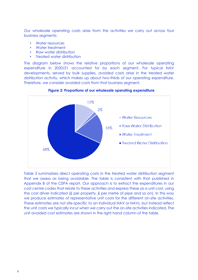Our wholesale operating costs arise from the activities we carry out across four business segments:

- Water resources
- Water treatment
- Raw water distribution
- Treated water distribution

The diagram below shows the relative proportions of our wholesale operating expenditure in 2020/21 accounted for by each segment. For typical NAV developments, served by bulk supplies, avoided costs arise in the treated water distribution activity, which makes up about two-thirds of our operating expenditure. Therefore, we consider avoided costs from that business segment.



#### **Figure 3: Proportions of our wholesale operating expenditure**

Table 3 summarises direct operating costs in the treated water distribution segment that we assess as being avoidable. The table is consistent with that published in Appendix B of the CEPA report. Our approach is to extract the expenditures in our cost centre codes that relate to these activities and express these as a unit cost, using the cost driver indicated (£ per property, £ per metre of pipe and so on). In this way we produce estimates of representative unit costs for the different on-site activities. These estimates are not site-specific to an individual NAV or NAVs, but instead reflect the unit costs we typically incur when we carry out the on-site activities indicated. The unit avoided cost estimates are shown in the right hand column of the table.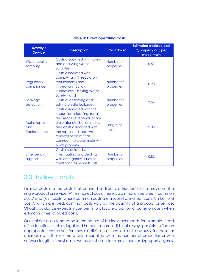| <b>Activity /</b><br><b>Service</b> | <b>Description</b>                                                                                                                                                                                                                                         | <b>Cost driver</b>      | <b>Estimated avoided cost</b><br>£/property or £ per<br>metre main |
|-------------------------------------|------------------------------------------------------------------------------------------------------------------------------------------------------------------------------------------------------------------------------------------------------------|-------------------------|--------------------------------------------------------------------|
| Water quality<br>sampling           | Costs associated with taking<br>and analysing water<br>Samples                                                                                                                                                                                             | Number of<br>properties | 0.51                                                               |
| Regulatory<br>compliance            | Costs associated with<br>complying with regulatory<br>requirements and<br>inspections (By-law<br>inspections, Drinking Water<br><b>Safety Plans)</b>                                                                                                       | Number of<br>properties | 0.90                                                               |
| Leakage<br>detection                | Costs of detecting and<br>solving on-site leakages                                                                                                                                                                                                         | Number of<br>properties | 3.53                                                               |
| Mains repair<br>and<br>Replacement  | Costs associated with the<br>inspection, cleaning, repair<br>and reactive renewal of on-<br>site water distribution mains<br>and costs associated with<br>the repair and reactive<br>renewal of pipes that<br>connect the water main with<br>each property | Length of<br>main       | 2.06                                                               |
| Emergency<br>support                | Costs associated with<br>investigating and dealing<br>with emergency issues or<br>faults such as mains bursts                                                                                                                                              | Number of<br>properties | 0.82                                                               |

### **Table 3: Direct operating costs**

## <span id="page-9-0"></span>3.3 Indirect costs

Indirect costs are the costs that cannot be directly attributed to the provision of a single product or service. Within indirect costs, there is a distinction between 'common costs' and 'joint costs' where common costs are a subset of indirect costs. Unlike 'joint costs', which are fixed, common costs vary by the quantity of a product or service. Ofwat's guidance expects incumbents to allocate a portion of common costs when estimating their avoided costs.

Our indirect costs tend to be in the nature of business overheads for example, head office functions such as legal and human resources. It is not always possible to find an appropriate cost driver for these activities as they do not obviously increase or decrease with the volume of water supplied, with the number of properties or with network length. In most cases we have chosen to express them as £/property figures.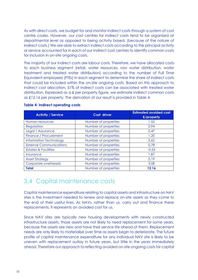As with direct costs, we budget for and monitor indirect costs through a system of cost centre codes. However, our cost centres for indirect costs tend to be organised at departmental level as opposed to being activity based, (because of the nature of indirect costs.) We are able to extract indirect costs according to the principal activity or service accounted for in each of our indirect cost centres to identify common costs for inclusion in on-site ongoing costs.

The majority of our indirect costs are labour costs. Therefore, we have allocated costs to each business segment (retail, water resources, raw water distribution, water treatment and treated water distribution) according to the number of Full Time Equivalent employees (FTEs) in each segment to determine the share of indirect costs that could be included within the on-site ongoing costs. Based on this approach to indirect cost allocation, 51% of indirect costs can be associated with treated water distribution. Expressed as a £ per property figure, we estimate indirect common costs as £12.16 per property. The derivation of our result is provided in Table 4.

| <b>Activity / Service</b>       | Cost driver          | <b>Estimated avoided cost</b><br>£/property |
|---------------------------------|----------------------|---------------------------------------------|
| Human resources                 | Number of properties | 1.52                                        |
| Regulation                      | Number of properties | 0.94                                        |
| Legal / Assurance               | Number of properties | 0.47                                        |
| Finance / Procurement           | Number of properties | 1.20                                        |
| <b>Information Technology</b>   | Number of properties | 2.62                                        |
| <b>External Communications</b>  | Number of properties | 0.78                                        |
| <b>Estates &amp; Facilities</b> | Number of properties | $-0.53$                                     |
| Insurance                       | Number of properties | 1.87                                        |
| <b>Asset Strategy</b>           | Number of properties | 0.19                                        |
| Corporate overheads             | Number of properties | 3.08                                        |
| <b>Total</b>                    | Number of properties | 12.16                                       |

### **Table 4: Indirect operating costs**

### <span id="page-10-0"></span>3.4 Capital maintenance costs

Capital maintenance expenditure relating to capital assets and infrastructure on NAV sites is the investment needed to renew and replace on-site assets as they come to the end of their useful lives. As NAVs, rather than us, carry out and finance these replacements, it represents an avoided cost for us.

Since NAV sites are typically new housing developments with newly constructed infrastructure assets, those assets are not likely to need replacement for some years. because the assets are new and have their service life ahead of them. Replacement needs are only likely to materialise over time as assets begin to deteriorate. The future profile of capital maintenance expenditure for any individual NAV site is likely to be uneven with replacement outlay in future years, but little in the years immediately ahead. Therefore our approach to reflecting avoided on-site ongoing costs for capital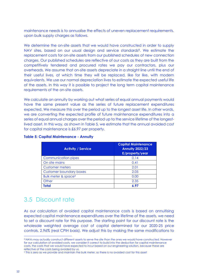maintenance needs is to annualise the effects of uneven replacement requirements. upon bulk supply charges as follows.

We determine the on-site assets that we would have constructed in order to supply NAV sites, based on our usual design and service standards<sup>8</sup>. We estimate the replacement costs for on-site assets from our published schedules of new connection charges. Our published schedules are reflective of our costs as they are built from the competitively tendered and procured rates we pay our contractors, plus our overheads. We assume that on-site assets depreciate in a straight line until the end of their useful lives, at which time they will be replaced, like for like, with modern equivalents. We use our normal depreciation lives to estimate the expected useful life of the assets. In this way it is possible to project the long term capital maintenance requirements of the on-site assets.

We calculate an annuity by working out what series of equal annual payments would have the same present value as the series of future replacement expenditures expected. We measure this over the period up to the longest asset life. In other words, we are converting the expected profile of future maintenance expenditures into a series of equal annual charges over the period up to the service lifetime of the longestlived asset. In this way, as shown in Table 5, we estimate that the annual avoided cost for capital maintenance is £6.97 per property.

| <b>Activity / Service</b>                 | <b>Capital Maintenance</b><br><b>Annuity 2022/23</b><br>£/property/year |
|-------------------------------------------|-------------------------------------------------------------------------|
| Communication pipes                       | 0.14                                                                    |
| On site mains                             | 0.41                                                                    |
| <b>Customer meters</b>                    | 2.01                                                                    |
| <b>Customer boundary boxes</b>            | 2.05                                                                    |
| <b>Bulk meter &amp; space<sup>9</sup></b> | 0.00                                                                    |
| Other                                     | 2.35                                                                    |
| Total                                     | 6.97                                                                    |

### **Table 5: Capital Maintenance - Annuity**

### <span id="page-11-0"></span>3.5 Discount rate

As our calculation of avoided capital maintenance costs is based on annuitising expected capital maintenance expenditures over the lifetime of the assets, we need to set a discount rate for this purpose. The starting point for our discount rate is the wholesale weighted average cost of capital determined for our 2020-25 price controls, 2.96% (real CPIH basis). We adjust this by making the same modifications to

<sup>8</sup> NAVs may actually construct different assets to serve the site than the ones we would have constructed. However for our calculation of avoided costs, we consider it correct to build into the deduction for capital maintenance costs, the costs that we would have expected to incur based on our engineering solution, because these are reflective of the costs being avoided by us.

<sup>9</sup> This is zero as we provide and maintain the bulk meter, so there is no avoided cost for this asset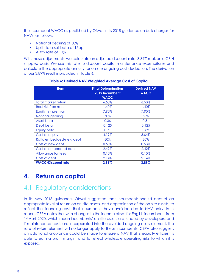the incumbent WACC as published by Ofwat in its 2018 guidance on bulk charges for NAVs, as follows:

- Notional gearing of 50%
- Uplift to asset beta of 15bp
- A tax rate of 10%

With these adjustments, we calculate an adjusted discount rate, 3.89% real, on a CPIH stripped basis. We use this rate to discount capital maintenance expenditures and calculate the appropriate annuity for on-site ongoing cost deduction. The derivation of our 3.89% result is provided in Table 6.

| <b>Item</b>                | <b>Final Determination</b><br>2019 Incumbent<br><b>WACC</b> | <b>Derived NAV</b><br><b>WACC</b> |
|----------------------------|-------------------------------------------------------------|-----------------------------------|
| <b>Total market return</b> | 6.50%                                                       | 6.50%                             |
| Real risk-free rate        | 1.40%                                                       | 1.40%                             |
| Equity risk premium        | 7.90%                                                       | 7.90%                             |
| Notional gearing           | 60%                                                         | 50%                               |
| Asset beta                 | 0.36                                                        | 0.51                              |
| Debt beta                  | 0.125                                                       | 0.125                             |
| Equity beta                | 0.71                                                        | 0.89                              |
| Cost of equity             | 4.19%                                                       | 5.64%                             |
| Ratio embedded/new debt    | 80%                                                         | 80%                               |
| Cost of new debt           | 0.53%                                                       | 0.53%                             |
| Cost of embedded debt      | 2.42%                                                       | 2.42%                             |
| Allowance for fees         | 0.10%                                                       | 0.10%                             |
| Cost of debt               | 2.14%                                                       | 2.14%                             |
| <b>WACC/Discount rate</b>  | 2.96%                                                       | 3.89%                             |

### **Table 6: Derived NAV Weighted Average Cost of Capital**

## <span id="page-12-0"></span>**4. Return on capital**

## <span id="page-12-1"></span>4.1 Regulatory considerations

In its May 2018 guidance, Ofwat suggested that incumbents should deduct an appropriate level of return on on-site assets, and depreciation of the on-site assets, to reflect the financing costs that incumbents have avoided due to NAV entry. In its report, CEPA notes that with changes to the income offset for English incumbents from 1st April 2020, which mean incumbents' on-site assets are funded by developers, and if maintenance costs are incorporated into the avoided ongoing costs element, the rate of return element will no longer apply to these incumbents. CEPA also suggests an additional allowance could be made to ensure a NAV that is equally efficient is able to earn a profit margin, and to reflect wholesale operating risks to which it is exposed.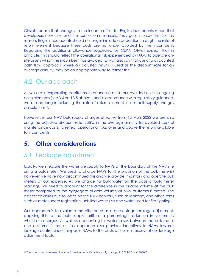Ofwat confirm that changes to the income offset for English incumbents mean that developers now fully fund the cost of on-site assets. They go on to say that for this reason, English incumbents should no longer include a deduction through the rate of return element because these costs are no longer avoided by the incumbent. Regarding the additional allowance suggested by CEPA, Ofwat expect that in principle, this should reflect the operational risk experienced by NAVs to operate onsite assets which the incumbent has avoided. Ofwat also say that use of a discounted cash flow approach where an adjusted return is used as the discount rate for an average annuity, may be an appropriate way to reflect this.

# <span id="page-13-0"></span>4.2 Our approach

As we are incorporating capital maintenance costs in our avoided on-site ongoing costs elements (see 3.4 and 3,5 above), and in accordance with regulatory guidance, we are no longer including the rate of return element in our bulk supply charges calculations<sup>10</sup>.

However, in our NAV bulk supply charges effective from 1st April 2022 we are also using the adjusted discount rate, 3.89% in the average annuity for avoided capital maintenance costs, to reflect operational risks, over and above the return available to incumbents.

### <span id="page-13-1"></span>**5. Other considerations**

## <span id="page-13-2"></span>5.1 Leakage adjustment

Usually, we measure the water we supply to NAVs at the boundary of the NAV site using a bulk meter. We used to charge NAVs for the provision of the bulk meter(s) however we have now discontinued this and we provide, maintain and operate bulk meters at our expense. As we charge for bulk water on the basis of bulk meter readings, we need to account for the difference in the billable volume at the bulk meter compared to the aggregate billable volume at NAV customers' meters. The difference arises due to losses on the NAV network, such as leakage, and other items such as meter under registration, unbilled water use and water used for fire-fighting.

Our approach is to evaluate the difference as a percentage leakage adjustment, applying this to the bulk supply tariff as a percentage reduction in volumetric wholesale charges. As well as accounting for water losses between the bulk meter and customers' meters, this approach also provides incentives to NAVs towards leakage control since it exposes NAVs to the costs of losses in excess of our leakage adjustment factor.

<sup>10</sup> The rate of return element was included in our NAV bulk supply charges in 2019/20 and 2020/21.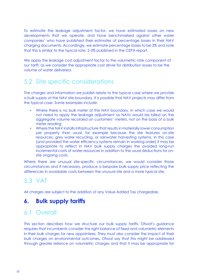To estimate the leakage adjustment factor, we have estimated losses on new developments that we operate, and have benchmarked against other water companies' who have published their estimates of percentage losses in their NAV charging documents. Accordingly, we estimate percentage losses to be 3% and note that this is similar to the typical rate, 2-3% published in the CEPA report.

We apply the leakage cost adjustment factor to the volumetric rate component of our tariff, as we consider the appropriate cost driver for distribution losses to be the volume of water delivered.

# <span id="page-14-0"></span>5.2 Site specific considerations

The charges and information we publish relate to the typical case where we provide a bulk supply at the NAV site boundary. It is possible that NAV projects may differ from the typical case. Some examples include:

- Where there is no bulk meter at the NAV boundary, in which case we would not need to apply the leakage adjustment as NAVs would be billed on the aggregate volume recorded on customers' meters, not on the basis of a bulk meter reading
- Where the NAV installs infrastructure that results in materially lower consumption per property than usual, for example because the site features on-site resources, grey water recycling, or rainwater harvesting systems. In this case (and provided the water efficiency systems remain in working order) it may be appropriate to reflect in NAV bulk supply charges the avoided long-run incremental costs of water resources in addition to the usual deductions for onsite ongoing costs.

Where there are unusual site-specific circumstances, we would consider those circumstances and if necessary, produce a bespoke bulk supply price reflecting the differences in avoidable costs between the unusual site and a more typical site.

## <span id="page-14-1"></span>5.3 VAT

All charges are subject to the addition of any Value Added Tax chargeable.

### <span id="page-14-2"></span>**6. Bulk supply tariffs**

## <span id="page-14-3"></span>6.1 Overall

This section describes how we structure our bulk supply tariffs. Ofwat's guidance requires that incumbents consider the right balance of fixed and volumetric elements in their bulk charges for new appointees. They must also consider the impact of their bulk charges on environmental outcomes. Ofwat say that this might be addressed through greater reliance on volumetric charges and that it may be appropriate for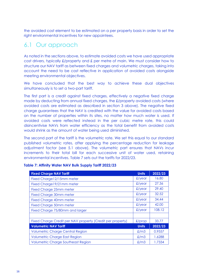the avoided cost element to be estimated on a per property basis in order to set the right environmental incentives for new appointees.

## <span id="page-15-0"></span>6.1 Our approach

As noted in the sections above, to estimate avoided costs we have used appropriate cost drivers, typically £/property and £ per metre of main. We must consider how to structure our NAV tariff as between fixed charges and volumetric charges, taking into account the need to be cost reflective in application of avoided costs alongside meeting environmental objectives.

We have concluded that the best way to achieve these dual objectives simultaneously is to set a two-part tariff.

The first part is a credit against fixed charges, effectively a negative fixed charge made by deducting from annual fixed charges, the £/property avoided costs (where avoided costs are estimated as described in section 3 above). The negative fixed charge guarantees that the NAV is credited with the value for avoided costs based on the number of properties within its sites, no matter how much water is used. If avoided costs were reflected instead in the per cubic metre rate, this could disincentivise NAVs from water efficiency as the total benefit from avoided costs would shrink as the amount of water being used diminished.

The second part of the tariff is the volumetric rate. We set this equal to our standard published volumetric rates, after applying the percentage reduction for leakage adjustment factor (see 5.1 above). The volumetric part ensures that NAVs incur increments to their total bill for each successive unit of water used, retaining environmental incentives. Table 7 sets out the tariffs for 2022/23.

| <b>Fixed Charge NAV Tariff</b>                             | <b>Units</b> | 2022/23 |
|------------------------------------------------------------|--------------|---------|
| Fixed Charge 12/15mm meter                                 | $f$ /year    | 16.80   |
| Fixed Charge 19/21mm meter                                 | $f$ /year    | 27.36   |
| <b>Fixed Charge 25mm meter</b>                             | $f$ /year    | 29.40   |
| <b>Fixed Charge 30mm meter</b>                             | $f$ /year    | 32.52   |
| <b>Fixed Charge 40mm meter</b>                             | $f$ /year    | 34.44   |
| <b>Fixed Charge 50mm meter</b>                             | $f$ /year    | 42.00   |
| Fixed Charge 75/80mm and larger                            | $f$ /year    | 108.12  |
|                                                            |              |         |
| Fixed Charge Credit per NAV property (Credit per property) | $f$ /prop    | 33.77   |
| <b>Volumetric NAV Tariff</b>                               | <b>Units</b> | 2022/23 |
| <b>Volumetric Charge Central Region</b>                    | $\pounds/m3$ | 0.9557  |
| <b>Volumetric Charge East Region</b>                       | $\pounds/m3$ | 1.6288  |
| <b>Volumetric Charge Southeast Region</b>                  | £/m3         | 1.7334  |

### **Table 7: Affinity Water NAV Bulk Supply Tariff 2022/23**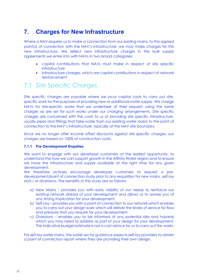## <span id="page-16-0"></span>**7. Charges for New Infrastructure**

Where a NAV requires us to make a connection from our existing mains, to the agreed point(s) of connection with the NAV's infrastructure, we may make charges for this new infrastructure. We reflect new infrastructure charges in the bulk supply agreements we enter into with NAVs in two broad categories:

- capital contributions that NAVs must make in respect of site specific infrastructure
- infrastructure charges, which are capital contributions in respect of network reinforcement

## <span id="page-16-1"></span>7.1 Site Specific Charges

Site specific charges are payable where we incur capital costs to carry out sitespecific work for the purposes of providing new or additional water supply. We charge NAVs for site-specific works that we undertake at their request, using the same charges as are set for such works under our charging arrangements. Site specific charges are concerned with the costs to us of providing site specific infrastructure, usually pipes and fittings that take water from our existing water mains to the point of connection to the NAV's infrastructure, typically at the NAV site boundary.

Since we no longer offer income offset discounts against site specific charges, our charges are based on 100% of construction costs.

### **7.1.1 Pre-Development Enquiries**

We want to engage with our developer customers at the earliest opportunity, to understand the how we can support growth in the Affinity Water region and to ensure we have the infrastructure and supply available at the right time for any given development.

We therefore actively encourage developer customers to request a predevelopment/point of connection study prior to any requisition for new mains, self-lay and / or diversions. The benefits of this study are as follows:

- a) New Mains provides you with early visibility of our needs to reinforce our existing network ahead of your development and allows us to advise you of any timing implication for your development.
- b) Self-Lay provides you with a point of connection to our network which enables you to carry out your design work which will deliver the levels of service for flow and pressure that you require for your development.
- c) Diversions enables you to be informed of any potential risks and hazards which you may need to address as part of your design for your development. The indicative budget estimate is not a cost advice for us to carry out the works.

For self-lay water mains, the water sector guidance expects self-lay providers to obtain a point of connection report where they are providing their own design.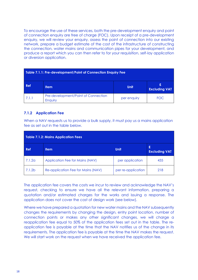To encourage the use of these services, both the pre-development enquiry and point of connection enquiry are free of charge (FOC). Upon receipt of a pre-development enquiry, we will review your enquiry, assess the point of connection into our existing network, prepare a budget estimate of the cost of the infrastructure of constructing the connection, water mains and communication pipes for your development, and produce a report which you can then refer to for your requisition, self-lay application or diversion application.

| Table 7.1.1: Pre-development/Point of Connection Enquiry Fee                         |  |  |  |  |  |  |
|--------------------------------------------------------------------------------------|--|--|--|--|--|--|
| <b>Ref</b><br><b>Unit</b><br><b>Item</b><br><b>Excluding VAT</b>                     |  |  |  |  |  |  |
| Pre-development/Point of Connection<br>7.1.1<br><b>FOC</b><br>per enquiry<br>Enquiry |  |  |  |  |  |  |

### **7.1.2 Application Fee**

When a NAV requests us to provide a bulk supply, it must pay us a mains application fee as set out in the table below.

| <b>Table 7.1.2: Mains Application Fees</b> |                                    |                    |                           |  |  |
|--------------------------------------------|------------------------------------|--------------------|---------------------------|--|--|
| <b>Ref</b>                                 | <b>Item</b>                        | <b>Unit</b>        | £<br><b>Excluding VAT</b> |  |  |
| 7.1.2a                                     | Application Fee for Mains (NAV)    | per application    | 435                       |  |  |
| 7.1.2b                                     | Re-application Fee for Mains (NAV) | per re-application | 218                       |  |  |

The application fee covers the costs we incur to review and acknowledge the NAV's request, checking to ensure we have all the relevant information, preparing a quotation and/or estimated charges for the works and issuing a response. The application does not cover the cost of design work (see below).

Where we have prepared a quotation for new water mains and the NAV subsequently changes the requirements by changing the design, entry point location, number of connection points or makes any other significant changes, we will charge a reapplication fee equal to 50% of the application fees set out in the table. The reapplication fee is payable at the time that the NAV notifies us of the change in its requirements. The application fee is payable at the time the NAV makes the request. We will start work on the request when we have received the application fee.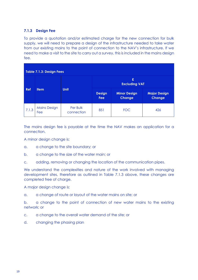### **7.1.3 Design Fee**

To provide a quotation and/or estimated charge for the new connection for bulk supply, we will need to prepare a design of the infrastructure needed to take water from our existing mains to the point of connection to the NAV's infrastructure. If we need to make a visit to the site to carry out a survey, this is included in the mains design fee.

| <b>Table 7.1.3: Design Fees</b> |                            |                        |                             |                                      |                                      |
|---------------------------------|----------------------------|------------------------|-----------------------------|--------------------------------------|--------------------------------------|
|                                 |                            |                        | £<br><b>Excluding VAT</b>   |                                      |                                      |
| <b>Ref</b>                      | <b>Item</b>                | <b>Unit</b>            | <b>Design</b><br><b>Fee</b> | <b>Minor Design</b><br><b>Change</b> | <b>Major Design</b><br><b>Change</b> |
| 7.1.3                           | <b>Mains Design</b><br>Fee | Per Bulk<br>connection | 851                         | <b>FOC</b>                           | 426                                  |

The mains design fee is payable at the time the NAV makes an application for a connection.

A minor design change is:

- a. a change to the site boundary; or
- b. a change to the size of the water main; or
- c. adding, removing or changing the location of the communication pipes.

We understand the complexities and nature of the work involved with managing development sites, therefore as outlined in Table 7.1.3 above, these changes are completed free of charge.

A major design change is:

a. a change of route or layout of the water mains on site; or

b. a change to the point of connection of new water mains to the existing network; or

c. a change to the overall water demand of the site; or

d. changing the phasing plan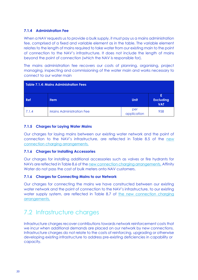### **7.1.4 Administration Fee**

When a NAV requests us to provide a bulk supply, it must pay us a mains administration fee, comprised of a fixed and variable element as in the table. The variable element relates to the length of mains required to take water from our existing main to the point of connection to the NAV's infrastructure. It does not include the length of mains beyond the point of connection (which the NAV is responsible for).

The mains administration fee recovers our costs of planning, organising, project managing, inspecting and commissioning of the water main and works necessary to connect to our water main

|       | Table 7.1.4: Mains Administration Fees |                    |                                     |
|-------|----------------------------------------|--------------------|-------------------------------------|
| Ref   | <b>Item</b>                            | <b>Unit</b>        | £<br><b>Excluding</b><br><b>VAT</b> |
| 7.1.4 | <b>Mains Administration Fee</b>        | per<br>application | 958                                 |

### **7.1.5 Charges for Laying Water Mains**

Our charges for laying mains between our existing water network and the point of connection to the NAV's infrastructure, are reflected in Table 8.5 of the [new](https://www.affinitywater.co.uk/docs/developer/2022/New-Connection-Charging-Arrangements-22-23.pdf)  [connection charging arrangements.](https://www.affinitywater.co.uk/docs/developer/2022/New-Connection-Charging-Arrangements-22-23.pdf)

### **7.1.6 Charges for Installing Accessories**

Our charges for installing additional accessories such as valves or fire hydrants for NAVs are reflected in Table 8.6 of the [new connection charging arrangements.](https://www.affinitywater.co.uk/docs/developer/2022/New-Connection-Charging-Arrangements-22-23.pdf) Affinity Water do not pass the cost of bulk meters onto NAV customers.

### **7.1.6 Charges for Connecting Mains to our Network**

Our charges for connecting the mains we have constructed between our existing water network and the point of connection to the NAV's infrastructure, to our existing water supply system, are reflected in Table 8.7 of the new connection charging [arrangements.](https://www.affinitywater.co.uk/docs/developer/2022/New-Connection-Charging-Arrangements-22-23.pdf)

## <span id="page-19-0"></span>7.2 Infrastructure charges

Infrastructure charges recover contributions towards network reinforcement costs that we incur when additional demands are placed on our network by new connections. Infrastructure charges do not relate to the costs of reinforcing, upgrading or otherwise developing existing infrastructure to address pre-existing deficiencies in capability or capacity.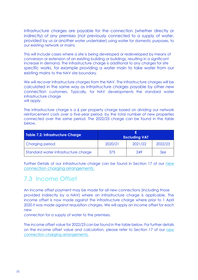Infrastructure charges are payable for the connection (whether directly or indirectly) of any premises (not previously connected to a supply of water, provided by us or another water undertaker) using water for domestic purposes, to our existing network or mains.

This will include cases where a site is being developed or redeveloped by means of conversion or extension of an existing building or buildings, resulting in a significant increase in demand. The infrastructure charge is additional to any charges for site specific works, for example providing a water main to take water from our existing mains to the NAV site boundary.

We will recover infrastructure charges from the NAV. The infrastructure charges will be calculated in the same way as infrastructure charges payable by other new connection customers. Typically, for NAV developments the standard water infrastructure charge will apply.

The infrastructure charge is a £ per property charge based on dividing our network reinforcement costs over a five-year period, by the total number of new properties connected over the same period. The 2022/23 charge can be found in the table below.

| Table 7.2: Infrastructure Charge     | <b>Excluding VAT</b> |         |         |  |
|--------------------------------------|----------------------|---------|---------|--|
| Charging period                      | 2020/21              | 2021/22 | 2022/23 |  |
| Standard water infrastructure charge | 375                  | 249     | 366     |  |

Further Details of our infrastructure charge can be found in Section 17 of our [new](https://www.affinitywater.co.uk/docs/developer/2022/New-Connection-Charging-Arrangements-22-23.pdf)  [connection charging arrangements.](https://www.affinitywater.co.uk/docs/developer/2022/New-Connection-Charging-Arrangements-22-23.pdf)

## <span id="page-20-0"></span>7.3 Income Offset

An income offset payment may be made for all new connections (including those provided indirectly by a NAV) where an infrastructure charge is applicable. The income offset is now made against the infrastructure charge where prior to 1 April 2020 it was made against requisition charges. We will apply an income offset for each new

connection for a supply of water to the premises.

The income offset value for 2022/23 can be found in the table below. For further details on the income offset value and calculation, please refer to Section 17 of our [new](https://www.affinitywater.co.uk/docs/developer/2022/New-Connection-Charging-Arrangements-22-23.pdf)  [connection charging arrangements.](https://www.affinitywater.co.uk/docs/developer/2022/New-Connection-Charging-Arrangements-22-23.pdf)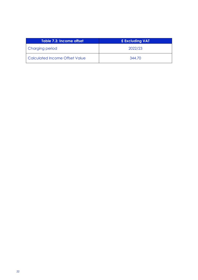| Table 7.3: Income offset          | £ Excluding VAT |
|-----------------------------------|-----------------|
| Charging period                   | 2022/23         |
| l Calculated Income Offset Value. | 344.70          |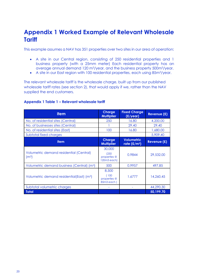## <span id="page-22-0"></span>**Appendix 1 Worked Example of Relevant Wholesale Tariff**

This example assumes a NAV has 351 properties over two sites in our area of operation:

- A site in our Central region, consisting of 250 residential properties and 1 business property (with a 25mm meter) Each residential property has an average annual demand 120 m3/year, and the business property 500m3/year.
- A site in our East region with 100 residential properties, each using 85m3/year.

The relevant wholesale tariff is the wholesale charge, built up from our published wholesale tariff rates (see section 2), that would apply if we, rather than the NAV supplied the end customers.

#### **Appendix 1 Table 1 – Relevant wholesale tariff**

| <b>Item</b>                                                  | <b>Charge</b><br><b>Multiplier</b>            | <b>Fixed Charge</b><br>(E/year)     | <b>Revenue (£)</b> |
|--------------------------------------------------------------|-----------------------------------------------|-------------------------------------|--------------------|
| No. of residential sites (Central)                           | 250                                           | 16.80                               | 4,200.00           |
| No. of businesses sites (Central)                            |                                               | 29.40                               | 29.40              |
| No. of residential sites (East)                              | 100                                           | 16.80                               | 1,680.00           |
| Subtotal fixed charges                                       |                                               |                                     | 5,909.40           |
| <b>Item</b>                                                  | <b>Charge</b><br><b>Multiplier</b>            | <b>Volumetric</b><br>rate $(E/m^3)$ | <b>Revenue (£)</b> |
| Volumetric demand residential (Central)<br>(m <sup>3</sup> ) | 30,000<br>(250<br>properties @<br>120m3 each) | 0.9844                              | 29,532.00          |
| Volumetric demand business (Central) (m <sup>3</sup> )       | 500                                           | 0.9957                              | 497.85             |
| Volumetric demand residential(East) (m <sup>3</sup> )        | 8,500<br>(100)<br>properties @<br>85m3 each)  | 1.6777                              | 14,260.45          |
| Subtotal volumetric charges                                  |                                               |                                     | 44,290.30          |
| Total                                                        |                                               |                                     | 50,199.70          |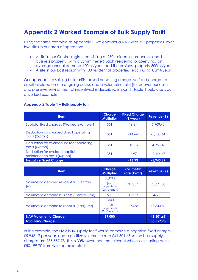## <span id="page-23-0"></span>**Appendix 2 Worked Example of Bulk Supply Tariff**

Using the same example as Appendix 1, we consider a NAV with 351 properties, over two sites in our area of operations:

- A site in our Central region, consisting of 250 residential properties and 1 business property (with a 25mm meter) Each residential property has an average annual demand 120m3/year, and the business property 500m3/year.
- A site in our East region with 100 residential properties, each using 85m3/year.

Our approach to setting bulk tariffs, based on setting a negative fixed charge (to credit avoided on-site ongoing costs), and a volumetric rate (to recover our costs and preserve environmental incentives) is described in part 6. Table 1 below sets out a worked example.

### **Appendix 2 Table 1 – Bulk supply tariff**

| <b>Item</b>                                                  | <b>Charge</b><br><b>Multiplier</b> | <b>Fixed Charge</b><br>(E/year) | Revenue (£) |
|--------------------------------------------------------------|------------------------------------|---------------------------------|-------------|
| Subtotal fixed charges (Worked example 1)                    | 351                                | 16.84                           | 5,909.40    |
| Deduction for avoided direct operating<br>$costs$ (£/prop)   | 351                                | $-14.64$                        | $-5,138.64$ |
| Deduction for avoided indirect operating<br>$costs$ (£/prop) | 351                                | $-12.16$                        | $-4,268.16$ |
| Deduction for avoided capital<br>maintenance costs (£/prop)  | 351                                | $-6.97$                         | $-2.446.47$ |
| <b>Negative Fixed Charge</b>                                 |                                    | $-16.93$                        | $-5,943.87$ |

| <b>Item</b>                                                  | <b>Charge</b><br><b>Multiplier</b>             | <b>Volumetric</b><br>rate $(E/m^3)$ | Revenue (£) |
|--------------------------------------------------------------|------------------------------------------------|-------------------------------------|-------------|
| Volumetric demand residential (Central)<br>(m <sup>3</sup> ) | 30,000<br>(250)<br>properties @<br>120m3 each) | 0.9557                              | 28,671.00   |
| Volumetric demand business (Central) (m <sup>3</sup> )       | 500                                            | 0.9557                              | 477.85      |
| Volumetric demand residential (East) (m <sup>3</sup> )       | 8,500<br>100<br>properties @<br>85m3 each)     | 1.6288                              | 13,844.80   |
| <b>NAV Volumetric Charge</b>                                 | 39,000                                         |                                     | 41,501.65   |
| <b>Total NAV Charge</b>                                      |                                                |                                     | 35,557.78   |

In this example, the NAV bulk supply tariff would comprise a negative fixed charge - £5,943.17 per year, and a positive volumetric rate £41,501.65 so the bulk supply charges are £35,557.78. This is 30% lower than the relevant wholesale starting point, £50,199.70 from worked example 1.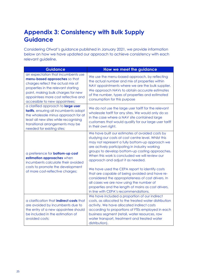## <span id="page-24-0"></span>**Appendix 3: Consistency with Bulk Supply Guidance**

Considering Ofwat's guidance published in January 2021, we provide information below on how we have updated our approach to achieve consistency with each relevant guideline.

| <b>Guidance</b>                                                                                                                                                                                                                                               | How we meet the guidance                                                                                                                                                                                                                                                                                                                                                                                                                                                                                                                                                                                                                                    |
|---------------------------------------------------------------------------------------------------------------------------------------------------------------------------------------------------------------------------------------------------------------|-------------------------------------------------------------------------------------------------------------------------------------------------------------------------------------------------------------------------------------------------------------------------------------------------------------------------------------------------------------------------------------------------------------------------------------------------------------------------------------------------------------------------------------------------------------------------------------------------------------------------------------------------------------|
| an expectation that incumbents use<br>menu-based approaches so that<br>charges reflect the actual mix of<br>properties in the relevant starting<br>point, making bulk charges for new<br>appointees more cost reflective and<br>accessible to new appointees; | We use the menu-based approach, by reflecting<br>the actual number and mix of properties within<br>NAV appointments where we are the bulk supplier.<br>We approach NAVs to obtain accurate estimates<br>of the number, types of properties and estimated<br>consumption for this purpose                                                                                                                                                                                                                                                                                                                                                                    |
| a clarified approach to large user<br>tariffs, ensuring all incumbents adopt<br>the wholesale minus approach for at<br>least all new sites while recognising<br>transitional arrangements may be<br>needed for existing sites;                                | We do not use the large user tariff for the relevant<br>wholesale tariff for any sites. We would only do so<br>in the case where a NAV site contained large<br>customers that would qualify for our large user tariff<br>in their own right.                                                                                                                                                                                                                                                                                                                                                                                                                |
| a preference for <b>bottom-up cost</b><br>estimation approaches when<br>incumbents calculate their avoided<br>costs to promote the development<br>of more cost-reflective charges;                                                                            | We have built our estimates of avoided costs by<br>studying our costs at cost centre level. Whilst this<br>may not represent a fully bottom-up approach we<br>are actively participating in industry working<br>groups to develop bottom-up costing approaches.<br>When this work is concluded we will review our<br>approach and adjust it as needed.<br>We have used the CEPA report to identify costs<br>that are capable of being avoided and have re-<br>considered the appropriateness of cost drivers. In<br>all cases we are now using the number of<br>properties and the length of mains as cost drivers,<br>in line with CEPA's recommendations. |
| a clarification that <i>indirect</i> costs that<br>are avoided by incumbents due to<br>the entry of a new appointee should<br>be included in the estimation of<br>avoided costs;                                                                              | We have included a proportion of our indirect<br>costs, as allocated to the treated water distribution<br>activity. We have allocated indirect costs<br>according to proportions of FTEs employed in each<br>business segment (retail, water resources, raw<br>water transport, treatment and treated water<br>distribution).                                                                                                                                                                                                                                                                                                                               |